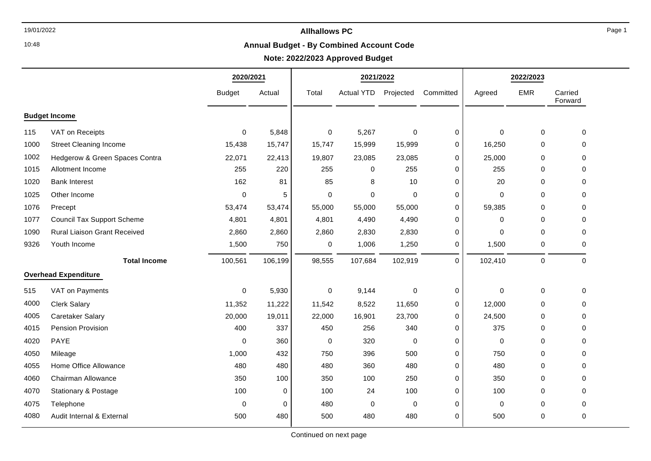10:48

# 19/01/2022 **Allhallows PC**

### **Annual Budget - By Combined Account Code**

# **Note: 2022/2023 Approved Budget**

|                             |                                     | 2020/2021     |         | 2021/2022   |                   |             |           | 2022/2023   |             |                    |
|-----------------------------|-------------------------------------|---------------|---------|-------------|-------------------|-------------|-----------|-------------|-------------|--------------------|
|                             |                                     | <b>Budget</b> | Actual  | Total       | <b>Actual YTD</b> | Projected   | Committed | Agreed      | <b>EMR</b>  | Carried<br>Forward |
| <b>Budget Income</b>        |                                     |               |         |             |                   |             |           |             |             |                    |
| 115                         | VAT on Receipts                     | $\mathbf 0$   | 5,848   | $\pmb{0}$   | 5,267             | $\pmb{0}$   | 0         | $\mathbf 0$ | $\pmb{0}$   | 0                  |
| 1000                        | <b>Street Cleaning Income</b>       | 15,438        | 15,747  | 15,747      | 15,999            | 15,999      | 0         | 16,250      | 0           | $\Omega$           |
| 1002                        | Hedgerow & Green Spaces Contra      | 22,071        | 22,413  | 19,807      | 23,085            | 23,085      | 0         | 25,000      | $\mathbf 0$ | 0                  |
| 1015                        | Allotment Income                    | 255           | 220     | 255         | 0                 | 255         | 0         | 255         | $\mathbf 0$ | 0                  |
| 1020                        | <b>Bank Interest</b>                | 162           | 81      | 85          | 8                 | 10          | $\Omega$  | 20          | $\mathbf 0$ | $\Omega$           |
| 1025                        | Other Income                        | $\mathbf 0$   | 5       | $\mathbf 0$ | 0                 | $\mathbf 0$ | 0         | 0           | 0           | 0                  |
| 1076                        | Precept                             | 53,474        | 53,474  | 55,000      | 55,000            | 55,000      | 0         | 59,385      | $\mathbf 0$ | $\Omega$           |
| 1077                        | <b>Council Tax Support Scheme</b>   | 4,801         | 4,801   | 4,801       | 4,490             | 4,490       | 0         | $\Omega$    | $\Omega$    | 0                  |
| 1090                        | <b>Rural Liaison Grant Received</b> | 2,860         | 2,860   | 2,860       | 2,830             | 2,830       | 0         | $\mathbf 0$ | $\mathbf 0$ | 0                  |
| 9326                        | Youth Income                        | 1,500         | 750     | 0           | 1,006             | 1,250       | 0         | 1,500       | 0           | 0                  |
|                             | <b>Total Income</b>                 | 100,561       | 106,199 | 98,555      | 107,684           | 102,919     | 0         | 102,410     | $\pmb{0}$   | $\pmb{0}$          |
| <b>Overhead Expenditure</b> |                                     |               |         |             |                   |             |           |             |             |                    |
| 515                         | VAT on Payments                     | $\Omega$      | 5,930   | 0           | 9,144             | $\mathbf 0$ | 0         | 0           | 0           | 0                  |
| 4000                        | <b>Clerk Salary</b>                 | 11,352        | 11,222  | 11,542      | 8,522             | 11,650      | 0         | 12,000      | 0           | $\Omega$           |
| 4005                        | Caretaker Salary                    | 20,000        | 19,011  | 22,000      | 16,901            | 23,700      | 0         | 24,500      | $\mathbf 0$ | $\Omega$           |
| 4015                        | Pension Provision                   | 400           | 337     | 450         | 256               | 340         | 0         | 375         | 0           | $\Omega$           |
| 4020                        | PAYE                                | $\Omega$      | 360     | $\pmb{0}$   | 320               | $\pmb{0}$   | 0         | $\mathbf 0$ | $\pmb{0}$   | $\Omega$           |
| 4050                        | Mileage                             | 1,000         | 432     | 750         | 396               | 500         | 0         | 750         | 0           | 0                  |
| 4055                        | Home Office Allowance               | 480           | 480     | 480         | 360               | 480         | 0         | 480         | 0           | 0                  |
| 4060                        | Chairman Allowance                  | 350           | 100     | 350         | 100               | 250         | 0         | 350         | 0           | 0                  |
| 4070                        | Stationary & Postage                | 100           | 0       | 100         | 24                | 100         | 0         | 100         | $\mathbf 0$ | $\Omega$           |
| 4075                        | Telephone                           | $\mathbf 0$   | 0       | 480         | 0                 | $\mathbf 0$ | 0         | 0           | $\pmb{0}$   | 0                  |
| 4080                        | Audit Internal & External           | 500           | 480     | 500         | 480               | 480         | 0         | 500         | 0           | 0                  |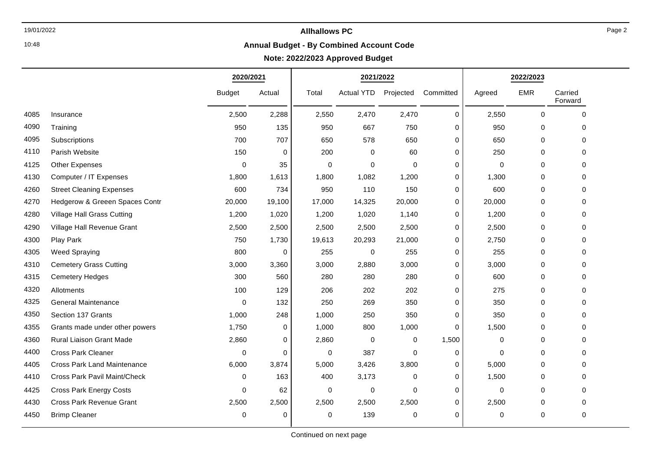# 10:48

# 19/01/2022 **Allhallows PC**

### **Annual Budget - By Combined Account Code**

# **Note: 2022/2023 Approved Budget**

|      |                                    | 2020/2021     |             | 2021/2022 |                   |             |             | 2022/2023   |             |                    |
|------|------------------------------------|---------------|-------------|-----------|-------------------|-------------|-------------|-------------|-------------|--------------------|
|      |                                    | <b>Budget</b> | Actual      | Total     | <b>Actual YTD</b> | Projected   | Committed   | Agreed      | <b>EMR</b>  | Carried<br>Forward |
| 4085 | Insurance                          | 2,500         | 2,288       | 2,550     | 2,470             | 2,470       | 0           | 2,550       | $\mathbf 0$ | $\mathbf 0$        |
| 4090 | Training                           | 950           | 135         | 950       | 667               | 750         | 0           | 950         | $\mathbf 0$ | 0                  |
| 4095 | Subscriptions                      | 700           | 707         | 650       | 578               | 650         | $\mathbf 0$ | 650         | $\mathbf 0$ | $\Omega$           |
| 4110 | Parish Website                     | 150           | $\mathbf 0$ | 200       | $\Omega$          | 60          | $\mathbf 0$ | 250         | $\mathbf 0$ | 0                  |
| 4125 | <b>Other Expenses</b>              | $\mathbf 0$   | 35          | 0         | $\Omega$          | $\mathbf 0$ | 0           | $\mathbf 0$ | $\mathbf 0$ | $\Omega$           |
| 4130 | Computer / IT Expenses             | 1,800         | 1,613       | 1,800     | 1,082             | 1,200       | 0           | 1,300       | 0           | 0                  |
| 4260 | <b>Street Cleaning Expenses</b>    | 600           | 734         | 950       | 110               | 150         | $\mathbf 0$ | 600         | $\mathbf 0$ | 0                  |
| 4270 | Hedgerow & Greeen Spaces Contr     | 20,000        | 19,100      | 17,000    | 14,325            | 20,000      | 0           | 20,000      | $\mathbf 0$ | 0                  |
| 4280 | Village Hall Grass Cutting         | 1,200         | 1,020       | 1,200     | 1,020             | 1,140       | 0           | 1,200       | 0           | $\Omega$           |
| 4290 | Village Hall Revenue Grant         | 2,500         | 2,500       | 2,500     | 2,500             | 2,500       | 0           | 2,500       | 0           | 0                  |
| 4300 | Play Park                          | 750           | 1,730       | 19,613    | 20,293            | 21,000      | 0           | 2,750       | 0           | $\mathbf 0$        |
| 4305 | <b>Weed Spraying</b>               | 800           | 0           | 255       | $\mathbf 0$       | 255         | 0           | 255         | $\mathbf 0$ | $\Omega$           |
| 4310 | <b>Cemetery Grass Cutting</b>      | 3,000         | 3,360       | 3,000     | 2,880             | 3,000       | 0           | 3,000       | $\mathbf 0$ | 0                  |
| 4315 | <b>Cemetery Hedges</b>             | 300           | 560         | 280       | 280               | 280         | 0           | 600         | $\mathbf 0$ | 0                  |
| 4320 | Allotments                         | 100           | 129         | 206       | 202               | 202         | 0           | 275         | 0           | $\Omega$           |
| 4325 | <b>General Maintenance</b>         | $\mathbf 0$   | 132         | 250       | 269               | 350         | 0           | 350         | 0           | 0                  |
| 4350 | Section 137 Grants                 | 1,000         | 248         | 1,000     | 250               | 350         | $\mathbf 0$ | 350         | 0           | 0                  |
| 4355 | Grants made under other powers     | 1,750         | 0           | 1,000     | 800               | 1,000       | $\mathbf 0$ | 1,500       | $\mathbf 0$ | 0                  |
| 4360 | <b>Rural Liaison Grant Made</b>    | 2,860         | 0           | 2,860     | $\mathbf 0$       | 0           | 1,500       | 0           | 0           | $\Omega$           |
| 4400 | <b>Cross Park Cleaner</b>          | 0             | 0           | 0         | 387               | $\mathbf 0$ | 0           | 0           | $\mathbf 0$ | $\Omega$           |
| 4405 | <b>Cross Park Land Maintenance</b> | 6,000         | 3,874       | 5,000     | 3,426             | 3,800       | $\mathbf 0$ | 5,000       | $\mathbf 0$ | 0                  |
| 4410 | Cross Park Pavil Maint/Check       | 0             | 163         | 400       | 3,173             | $\mathbf 0$ | 0           | 1,500       | 0           | 0                  |
| 4425 | <b>Cross Park Energy Costs</b>     | $\Omega$      | 62          | 0         | $\Omega$          | $\Omega$    | 0           | $\Omega$    | $\mathbf 0$ | 0                  |
| 4430 | Cross Park Revenue Grant           | 2,500         | 2,500       | 2,500     | 2,500             | 2,500       | 0           | 2,500       | 0           | 0                  |
| 4450 | <b>Brimp Cleaner</b>               | $\Omega$      | $\mathbf 0$ | 0         | 139               | $\mathbf 0$ | $\mathbf 0$ | 0           | $\mathbf 0$ | 0                  |
|      |                                    |               |             |           |                   |             |             |             |             |                    |

Page 2